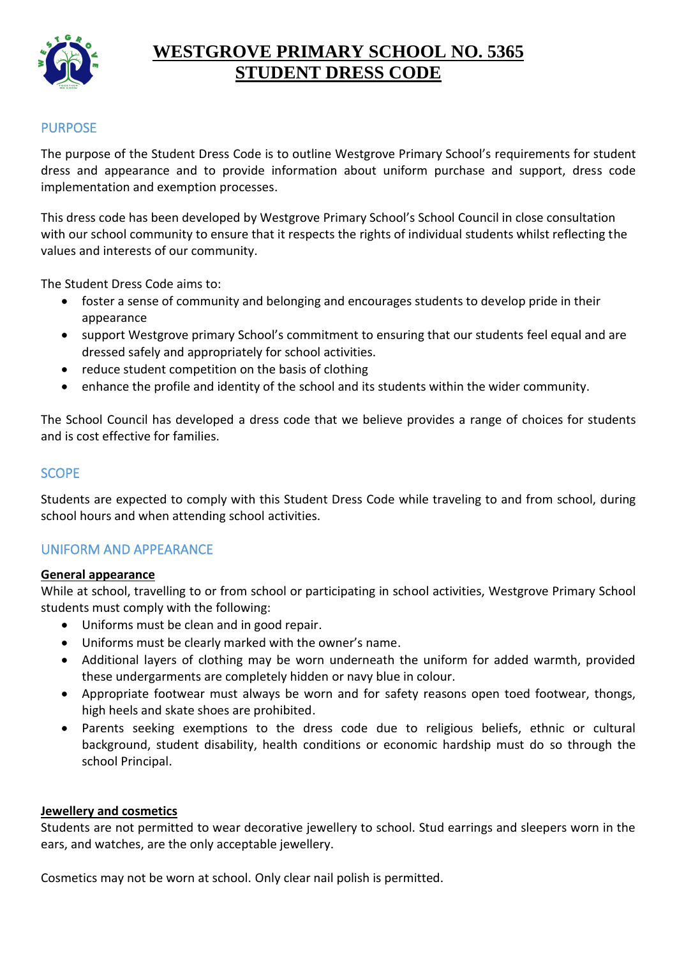

# **WESTGROVE PRIMARY SCHOOL NO. 5365 STUDENT DRESS CODE**

# PURPOSE

The purpose of the Student Dress Code is to outline Westgrove Primary School's requirements for student dress and appearance and to provide information about uniform purchase and support, dress code implementation and exemption processes.

This dress code has been developed by Westgrove Primary School's School Council in close consultation with our school community to ensure that it respects the rights of individual students whilst reflecting the values and interests of our community.

The Student Dress Code aims to:

- foster a sense of community and belonging and encourages students to develop pride in their appearance
- support Westgrove primary School's commitment to ensuring that our students feel equal and are dressed safely and appropriately for school activities.
- reduce student competition on the basis of clothing
- enhance the profile and identity of the school and its students within the wider community.

The School Council has developed a dress code that we believe provides a range of choices for students and is cost effective for families.

#### **SCOPE**

Students are expected to comply with this Student Dress Code while traveling to and from school, during school hours and when attending school activities.

## UNIFORM AND APPEARANCE

#### **General appearance**

While at school, travelling to or from school or participating in school activities, Westgrove Primary School students must comply with the following:

- Uniforms must be clean and in good repair.
- Uniforms must be clearly marked with the owner's name.
- Additional layers of clothing may be worn underneath the uniform for added warmth, provided these undergarments are completely hidden or navy blue in colour.
- Appropriate footwear must always be worn and for safety reasons open toed footwear, thongs, high heels and skate shoes are prohibited.
- Parents seeking exemptions to the dress code due to religious beliefs, ethnic or cultural background, student disability, health conditions or economic hardship must do so through the school Principal.

#### **Jewellery and cosmetics**

Students are not permitted to wear decorative jewellery to school. Stud earrings and sleepers worn in the ears, and watches, are the only acceptable jewellery.

Cosmetics may not be worn at school. Only clear nail polish is permitted.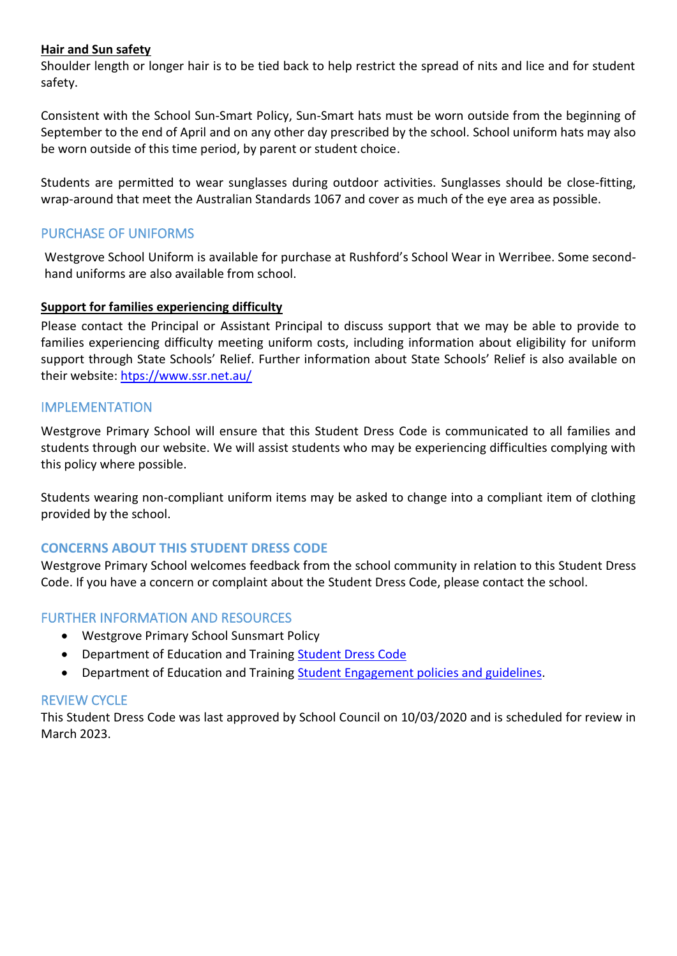#### **Hair and Sun safety**

Shoulder length or longer hair is to be tied back to help restrict the spread of nits and lice and for student safety.

Consistent with the School Sun-Smart Policy, Sun-Smart hats must be worn outside from the beginning of September to the end of April and on any other day prescribed by the school. School uniform hats may also be worn outside of this time period, by parent or student choice.

Students are permitted to wear sunglasses during outdoor activities. Sunglasses should be close-fitting, wrap-around that meet the Australian Standards 1067 and cover as much of the eye area as possible.

## PURCHASE OF UNIFORMS

Westgrove School Uniform is available for purchase at Rushford's School Wear in Werribee. Some secondhand uniforms are also available from school.

#### **Support for families experiencing difficulty**

Please contact the Principal or Assistant Principal to discuss support that we may be able to provide to families experiencing difficulty meeting uniform costs, including information about eligibility for uniform support through State Schools' Relief. Further information about State Schools' Relief is also available on their website: [htps://www.ssr.net.au/](https://www.ssr.net.au/)

#### IMPLEMENTATION

Westgrove Primary School will ensure that this Student Dress Code is communicated to all families and students through our website. We will assist students who may be experiencing difficulties complying with this policy where possible.

Students wearing non-compliant uniform items may be asked to change into a compliant item of clothing provided by the school.

## **CONCERNS ABOUT THIS STUDENT DRESS CODE**

Westgrove Primary School welcomes feedback from the school community in relation to this Student Dress Code. If you have a concern or complaint about the Student Dress Code, please contact the school.

## FURTHER INFORMATION AND RESOURCES

- Westgrove Primary School Sunsmart Policy
- Department of Education and Training [Student Dress Code](https://www.education.vic.gov.au/school/principals/spag/management/pages/dresscode.aspx)
- Department of Education and Training [Student Engagement policies and guidelines.](https://www.education.vic.gov.au/school/teachers/behaviour/engagement/Pages/default.aspx)

#### REVIEW CYCLE

This Student Dress Code was last approved by School Council on 10/03/2020 and is scheduled for review in March 2023.